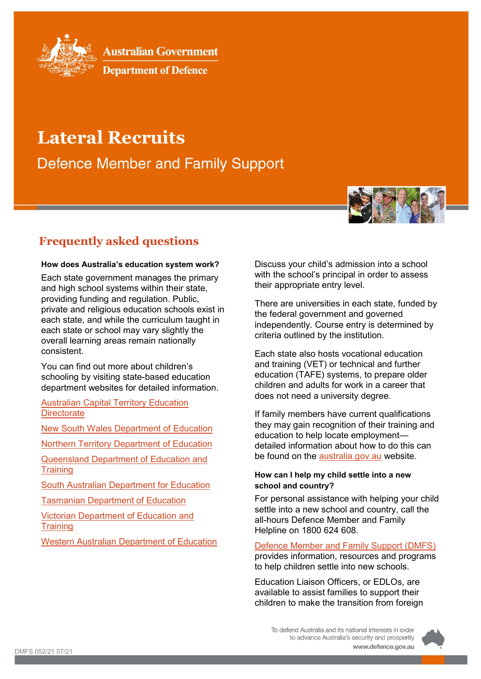

**Australian Government** 

**Department of Defence** 

# **Lateral Recruits**

**Defence Member and Family Support** 



## **How does Australia's education system work?**

Each state government manages the primary and high school systems within their state, providing funding and regulation. Public, private and religious education schools exist in each state, and while the curriculum taught in each state or school may vary slightly the overall learning areas remain nationally consistent.

You can find out more about children's schooling by visiting state-based education department websites for detailed information.

[Australian Capital Territory Education](https://www.education.act.gov.au/)  **[Directorate](https://www.education.act.gov.au/)** 

[New South Wales Department of Education](https://education.nsw.gov.au/)

[Northern Territory Department of Education](https://education.nt.gov.au/)

[Queensland Department of Education and](https://www.qld.gov.au/education)  **[Training](https://www.qld.gov.au/education)** 

[South Australian Department for Education](https://www.sa.gov.au/topics/about-sa/government/departments/education)

[Tasmanian Department of Education](https://www.education.tas.gov.au/)

[Victorian Department of Education and](https://education.vic.gov.au/Pages/default.aspx)  **[Training](https://education.vic.gov.au/Pages/default.aspx)** 

[Western Australian Department of Education](https://www.education.wa.edu.au/home)

Discuss your child's admission into a school with the school's principal in order to assess their appropriate entry level.

There are universities in each state, funded by the federal government and governed independently. Course entry is determined by criteria outlined by the institution.

Each state also hosts vocational education and training (VET) or technical and further education (TAFE) systems, to prepare older children and adults for work in a career that does not need a university degree.

If family members have current qualifications they may gain recognition of their training and education to help locate employment detailed information about how to do this can be found on the [australia.gov.au](https://www.australia.gov.au/) website.

# **How can I help my child settle into a new school and country?**

For personal assistance with helping your child settle into a new school and country, call the all-hours Defence Member and Family Helpline on 1800 624 608.

[Defence Member and Family Support \(DMFS\)](https://defence.gov.au/members-families/) provides information, resources and programs to help children settle into new schools.

Education Liaison Officers, or EDLOs, are available to assist families to support their children to make the transition from foreign

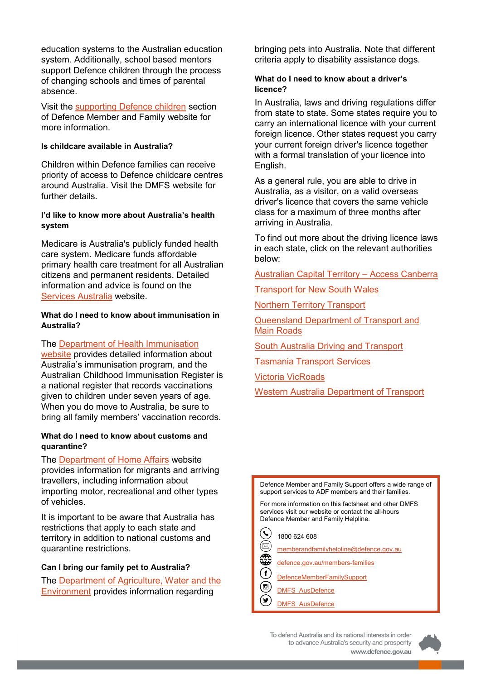education systems to the Australian education system. Additionally, school based mentors support Defence children through the process of changing schools and times of parental absence.

Visit the [supporting Defence children](https://defence.gov.au/members-families/Family/Kids/default.asp) section of Defence Member and Family website for more information.

# **Is childcare available in Australia?**

Children within Defence families can receive priority of access to Defence childcare centres around Australia. Visit the DMFS website for further details.

## **I'd like to know more about Australia's health system**

Medicare is Australia's publicly funded health care system. Medicare funds affordable primary health care treatment for all Australian citizens and permanent residents. Detailed information and advice is found on the [Services Australia](https://www.servicesaustralia.gov.au/) website.

### **What do I need to know about immunisation in Australia?**

# The [Department of Health Immunisation](https://www.health.gov.au/health-topics/immunisation)

[website](https://www.health.gov.au/health-topics/immunisation) provides detailed information about Australia's immunisation program, and the Australian Childhood Immunisation Register is a national register that records vaccinations given to children under seven years of age. When you do move to Australia, be sure to bring all family members' vaccination records.

#### **What do I need to know about customs and quarantine?**

The **Department of Home Affairs** website provides information for migrants and arriving travellers, including information about importing motor, recreational and other types of vehicles.

It is important to be aware that Australia has restrictions that apply to each state and territory in addition to national customs and quarantine restrictions.

#### **Can I bring our family pet to Australia?**

The [Department of Agriculture, Water and the](https://www.awe.gov.au/)  [Environment](https://www.awe.gov.au/) provides information regarding

bringing pets into Australia. Note that different criteria apply to disability assistance dogs.

## **What do I need to know about a driver's licence?**

In Australia, laws and driving regulations differ from state to state. Some states require you to carry an international licence with your current foreign licence. Other states request you carry your current foreign driver's licence together with a formal translation of your licence into English.

As a general rule, you are able to drive in Australia, as a visitor, on a valid overseas driver's licence that covers the same vehicle class for a maximum of three months after arriving in Australia.

To find out more about the driving licence laws in each state, click on the relevant authorities below:

[Australian Capital Territory –](https://www.accesscanberra.act.gov.au/s/) Access Canberra

[Transport for New South Wales](https://roads-waterways.transport.nsw.gov.au/)

[Northern Territory Transport](https://dipl.nt.gov.au/transport)

[Queensland Department of Transport and](https://www.tmr.qld.gov.au/)  [Main Roads](https://www.tmr.qld.gov.au/)

[South Australia Driving and Transport](https://www.sa.gov.au/topics/driving-and-transport)

[Tasmania Transport Services](https://www.transport.tas.gov.au/)

[Victoria VicRoads](https://www.vicroads.vic.gov.au/Home/)

[Western Australia Department of Transport](https://www.transport.wa.gov.au/index.asp)

Defence Member and Family Support offers a wide range of support services to ADF members and their families.

For more information on this factsheet and other DMFS services visit our website or contact the all-hours Defence Member and Family Helpline.

 $\left( \centerdot \right)$ 1800 624 608

- [memberandfamilyhelpline@defence.gov.au](mailto:memberandfamilyhelpline@defence.gov.au)
- [defence.gov.au/members-families](http://www.defence.gov.au/members-families)
- [DefenceMemberFamilySupport](https://www.facebook.com/DefenceMemberFamilySupport)
- 90000 [DMFS\\_AusDefence](https://www.instagram.com/dmfs_ausdefence/)
- [DMFS\\_AusDefence](https://twitter.com/DMFS_AusDefence)



www.defence.gov.au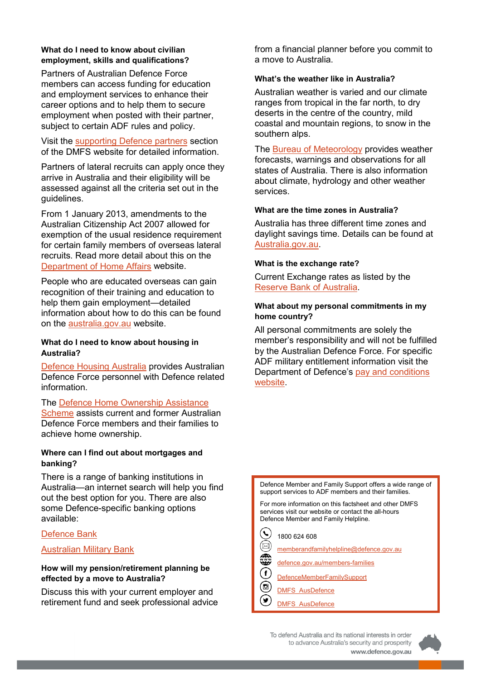## **What do I need to know about civilian employment, skills and qualifications?**

Partners of Australian Defence Force members can access funding for education and employment services to enhance their career options and to help them to secure employment when posted with their partner, subject to certain ADF rules and policy.

Visit the [supporting Defence partners](https://defence.gov.au/members-families/Family/Partners/default.asp) section of the DMFS website for detailed information.

Partners of lateral recruits can apply once they arrive in Australia and their eligibility will be assessed against all the criteria set out in the guidelines.

From 1 January 2013, amendments to the Australian Citizenship Act 2007 allowed for exemption of the usual residence requirement for certain family members of overseas lateral recruits. Read more detail about this on the [Department of Home Affairs](https://www.homeaffairs.gov.au/) website.

People who are educated overseas can gain recognition of their training and education to help them gain employment—detailed information about how to do this can be found on the [australia.gov.au](https://www.australia.gov.au/) website.

## **What do I need to know about housing in Australia?**

[Defence Housing Australia](https://www.dha.gov.au/) provides Australian Defence Force personnel with Defence related information.

The [Defence Home Ownership Assistance](https://www.dhoas.gov.au/)  [Scheme](https://www.dhoas.gov.au/) assists current and former Australian Defence Force members and their families to achieve home ownership.

## **Where can I find out about mortgages and banking?**

There is a range of banking institutions in Australia—an internet search will help you find out the best option for you. There are also some Defence-specific banking options available:

# [Defence Bank](https://www.defencebank.com.au/)

# [Australian Military Bank](https://www.australianmilitarybank.com.au/)

## **How will my pension/retirement planning be effected by a move to Australia?**

Discuss this with your current employer and retirement fund and seek professional advice from a financial planner before you commit to a move to Australia.

#### **What's the weather like in Australia?**

Australian weather is varied and our climate ranges from tropical in the far north, to dry deserts in the centre of the country, mild coastal and mountain regions, to snow in the southern alps.

The [Bureau of Meteorology](http://www.bom.gov.au/) provides weather forecasts, warnings and observations for all states of Australia. There is also information about climate, hydrology and other weather services.

#### **What are the time zones in Australia?**

Australia has three different time zones and daylight savings time. Details can be found at [Australia.gov.au.](https://info.australia.gov.au/about-australia/facts-and-figures/time-zones-and-daylight-saving)

#### **What is the exchange rate?**

Current Exchange rates as listed by the [Reserve Bank of Australia.](https://www.rba.gov.au/)

## **What about my personal commitments in my home country?**

All personal commitments are solely the member's responsibility and will not be fulfilled by the Australian Defence Force. For specific ADF military entitlement information visit the Department of Defence's [pay and conditions](https://pay-conditions.defence.gov.au/pacman)  [website.](https://pay-conditions.defence.gov.au/pacman)

Defence Member and Family Support offers a wide range of support services to ADF members and their families.

For more information on this factsheet and other DMFS services visit our website or contact the all-hours Defence Member and Family Helpline.

- [memberandfamilyhelpline@defence.gov.au](mailto:memberandfamilyhelpline@defence.gov.au)
- [defence.gov.au/members-families](http://www.defence.gov.au/members-families)
- [DefenceMemberFamilySupport](https://www.facebook.com/DefenceMemberFamilySupport)
- [DMFS\\_AusDefence](https://www.instagram.com/dmfs_ausdefence/)
- (⊌ [DMFS\\_AusDefence](https://twitter.com/DMFS_AusDefence)